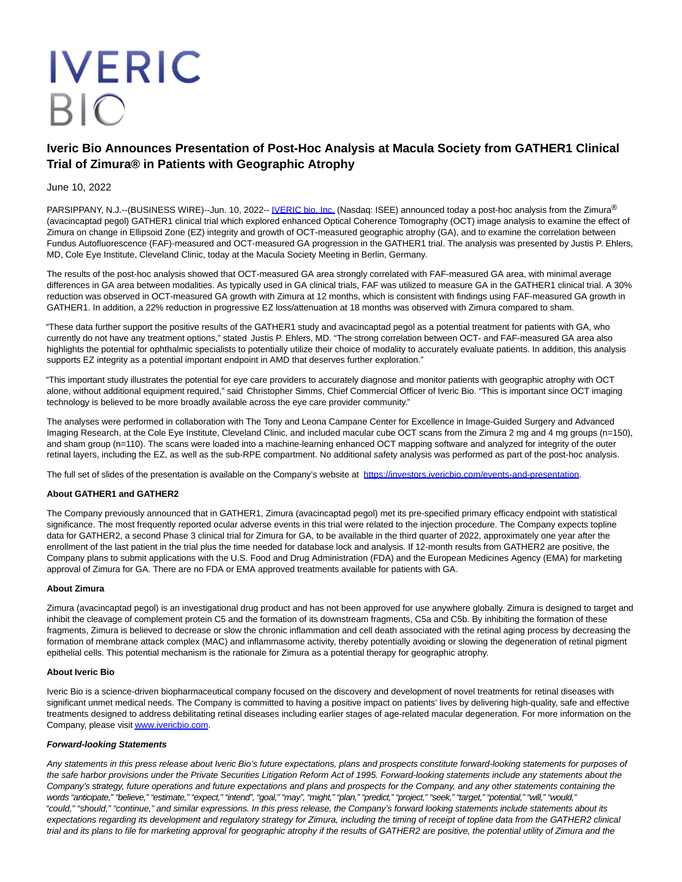# **IVERIC BIO**

## **Iveric Bio Announces Presentation of Post-Hoc Analysis at Macula Society from GATHER1 Clinical Trial of Zimura® in Patients with Geographic Atrophy**

### June 10, 2022

PARSIPPANY, N.J.--(BUSINESS WIRE)--Jun. 10, 2022-[- IVERIC bio, Inc. \(](https://cts.businesswire.com/ct/CT?id=smartlink&url=http%3A%2F%2Fwww.ivericbio.com&esheet=52745453&newsitemid=20220609006056&lan=en-US&anchor=IVERIC+bio%2C+Inc.&index=1&md5=bbf98cec8ff66a88a1a03801f5f56b44)Nasdaq: ISEE) announced today a post-hoc analysis from the Zimura<sup>®</sup> (avacincaptad pegol) GATHER1 clinical trial which explored enhanced Optical Coherence Tomography (OCT) image analysis to examine the effect of Zimura on change in Ellipsoid Zone (EZ) integrity and growth of OCT-measured geographic atrophy (GA), and to examine the correlation between Fundus Autofluorescence (FAF)-measured and OCT-measured GA progression in the GATHER1 trial. The analysis was presented by Justis P. Ehlers, MD, Cole Eye Institute, Cleveland Clinic, today at the Macula Society Meeting in Berlin, Germany.

The results of the post-hoc analysis showed that OCT-measured GA area strongly correlated with FAF-measured GA area, with minimal average differences in GA area between modalities. As typically used in GA clinical trials, FAF was utilized to measure GA in the GATHER1 clinical trial. A 30% reduction was observed in OCT-measured GA growth with Zimura at 12 months, which is consistent with findings using FAF-measured GA growth in GATHER1. In addition, a 22% reduction in progressive EZ loss/attenuation at 18 months was observed with Zimura compared to sham.

"These data further support the positive results of the GATHER1 study and avacincaptad pegol as a potential treatment for patients with GA, who currently do not have any treatment options," stated Justis P. Ehlers, MD. "The strong correlation between OCT- and FAF-measured GA area also highlights the potential for ophthalmic specialists to potentially utilize their choice of modality to accurately evaluate patients. In addition, this analysis supports EZ integrity as a potential important endpoint in AMD that deserves further exploration."

"This important study illustrates the potential for eye care providers to accurately diagnose and monitor patients with geographic atrophy with OCT alone, without additional equipment required," said Christopher Simms, Chief Commercial Officer of Iveric Bio. "This is important since OCT imaging technology is believed to be more broadly available across the eye care provider community."

The analyses were performed in collaboration with The Tony and Leona Campane Center for Excellence in Image-Guided Surgery and Advanced Imaging Research, at the Cole Eye Institute, Cleveland Clinic, and included macular cube OCT scans from the Zimura 2 mg and 4 mg groups (n=150), and sham group (n=110). The scans were loaded into a machine-learning enhanced OCT mapping software and analyzed for integrity of the outer retinal layers, including the EZ, as well as the sub-RPE compartment. No additional safety analysis was performed as part of the post-hoc analysis.

The full set of slides of the presentation is available on the Company's website at [https://investors.ivericbio.com/events-and-presentation.](https://cts.businesswire.com/ct/CT?id=smartlink&url=https%3A%2F%2Finvestors.ivericbio.com%2Fevents-and-presentation&esheet=52745453&newsitemid=20220609006056&lan=en-US&anchor=https%3A%2F%2Finvestors.ivericbio.com%2Fevents-and-presentation&index=2&md5=0c4936532841e9a9d0947d7c27c8e557)

#### **About GATHER1 and GATHER2**

The Company previously announced that in GATHER1, Zimura (avacincaptad pegol) met its pre-specified primary efficacy endpoint with statistical significance. The most frequently reported ocular adverse events in this trial were related to the injection procedure. The Company expects topline data for GATHER2, a second Phase 3 clinical trial for Zimura for GA, to be available in the third quarter of 2022, approximately one year after the enrollment of the last patient in the trial plus the time needed for database lock and analysis. If 12-month results from GATHER2 are positive, the Company plans to submit applications with the U.S. Food and Drug Administration (FDA) and the European Medicines Agency (EMA) for marketing approval of Zimura for GA. There are no FDA or EMA approved treatments available for patients with GA.

#### **About Zimura**

Zimura (avacincaptad pegol) is an investigational drug product and has not been approved for use anywhere globally. Zimura is designed to target and inhibit the cleavage of complement protein C5 and the formation of its downstream fragments, C5a and C5b. By inhibiting the formation of these fragments, Zimura is believed to decrease or slow the chronic inflammation and cell death associated with the retinal aging process by decreasing the formation of membrane attack complex (MAC) and inflammasome activity, thereby potentially avoiding or slowing the degeneration of retinal pigment epithelial cells. This potential mechanism is the rationale for Zimura as a potential therapy for geographic atrophy.

#### **About Iveric Bio**

Iveric Bio is a science-driven biopharmaceutical company focused on the discovery and development of novel treatments for retinal diseases with significant unmet medical needs. The Company is committed to having a positive impact on patients' lives by delivering high-quality, safe and effective treatments designed to address debilitating retinal diseases including earlier stages of age-related macular degeneration. For more information on the Company, please visi[t www.ivericbio.com.](https://cts.businesswire.com/ct/CT?id=smartlink&url=http%3A%2F%2Fwww.ivericbio.com&esheet=52745453&newsitemid=20220609006056&lan=en-US&anchor=www.ivericbio.com&index=3&md5=22f6b082db1276535d1f7d542dcce541)

#### **Forward-looking Statements**

Any statements in this press release about Iveric Bio's future expectations, plans and prospects constitute forward-looking statements for purposes of the safe harbor provisions under the Private Securities Litigation Reform Act of 1995. Forward-looking statements include any statements about the Company's strategy, future operations and future expectations and plans and prospects for the Company, and any other statements containing the words "anticipate," "believe," "estimate," "expect," "intend", "goal," "may", "might," "plan," "predict," "project," "seek," "target," "potential," "will," "would," "could," "should," "continue," and similar expressions. In this press release, the Company's forward looking statements include statements about its expectations regarding its development and regulatory strategy for Zimura, including the timing of receipt of topline data from the GATHER2 clinical trial and its plans to file for marketing approval for geographic atrophy if the results of GATHER2 are positive, the potential utility of Zimura and the